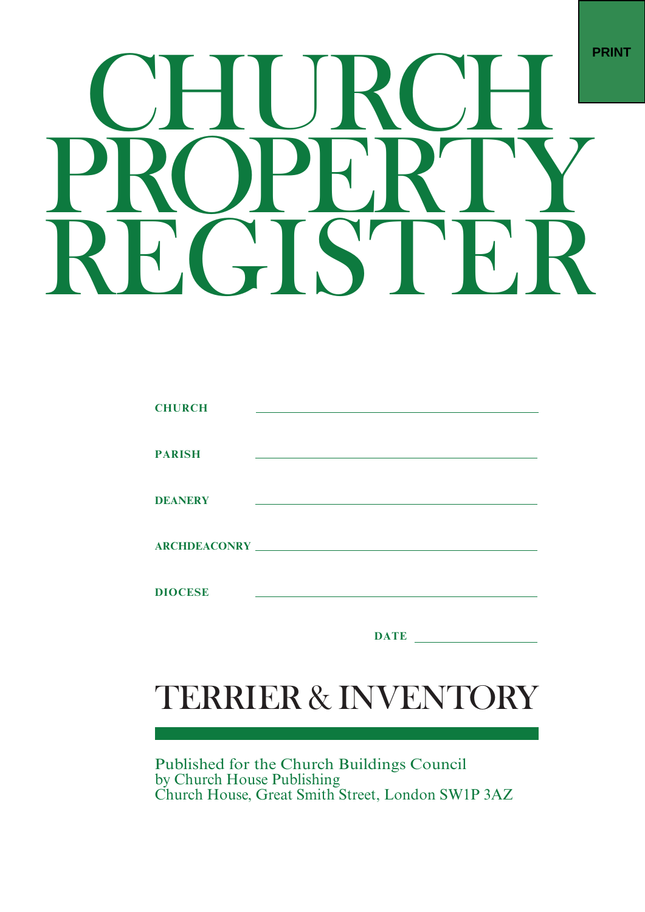# **PRINT**

| <b>CHURCH</b>  |             |
|----------------|-------------|
|                |             |
|                |             |
| <b>PARISH</b>  |             |
|                |             |
|                |             |
| <b>DEANERY</b> |             |
|                |             |
|                |             |
|                |             |
|                |             |
|                |             |
| <b>DIOCESE</b> |             |
|                |             |
|                |             |
|                | <b>DATE</b> |

# TERRIER & INVENTORY

Published for the Church Buildings Council<br>by Church House Publishing<br>Church House, Great Smith Street, London SW1P 3AZ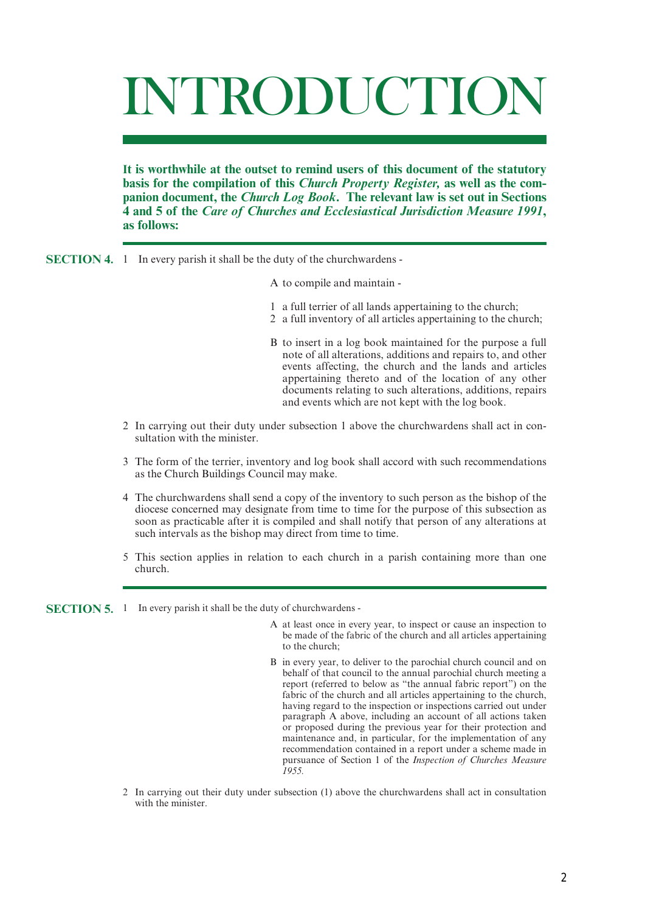# INTRODUCTION

**It is worthwhile at the outset to remind users of this document of the statutory basis for the compilation of this** *Church Property Register,* **as well as the companion document, the** *Church Log Book***. The relevant law is set out in Sections 4 and 5 of the** *Care of Churches and Ecclesiastical Jurisdiction Measure 1991***, as follows:**

- **SECTION 4.** 1 In every parish it shall be the duty of the churchwardens -
	- A to compile and maintain -
	- 1 a full terrier of all lands appertaining to the church;
	- 2 a full inventory of all articles appertaining to the church;
	- B to insert in a log book maintained for the purpose a full note of all alterations, additions and repairs to, and other events affecting, the church and the lands and articles appertaining thereto and of the location of any other documents relating to such alterations, additions, repairs and events which are not kept with the log book.
	- 2 In carrying out their duty under subsection 1 above the churchwardens shall act in consultation with the minister.
	- 3 The form of the terrier, inventory and log book shall accord with such recommendations as the Church Buildings Council may make.
	- 4 The churchwardens shall send a copy of the inventory to such person as the bishop of the diocese concerned may designate from time to time for the purpose of this subsection as soon as practicable after it is compiled and shall notify that person of any alterations at such intervals as the bishop may direct from time to time.
	- 5 This section applies in relation to each church in a parish containing more than one church.

**SECTION 5.** 1 In every parish it shall be the duty of churchwardens -

- A at least once in every year, to inspect or cause an inspection to be made of the fabric of the church and all articles appertaining to the church;
- B in every year, to deliver to the parochial church council and on behalf of that council to the annual parochial church meeting a report (referred to below as "the annual fabric report") on the fabric of the church and all articles appertaining to the church, having regard to the inspection or inspections carried out under paragraph A above, including an account of all actions taken or proposed during the previous year for their protection and maintenance and, in particular, for the implementation of any recommendation contained in a report under a scheme made in pursuance of Section 1 of the *Inspection of Churches Measure 1955.*
- 2 In carrying out their duty under subsection (1) above the churchwardens shall act in consultation with the minister.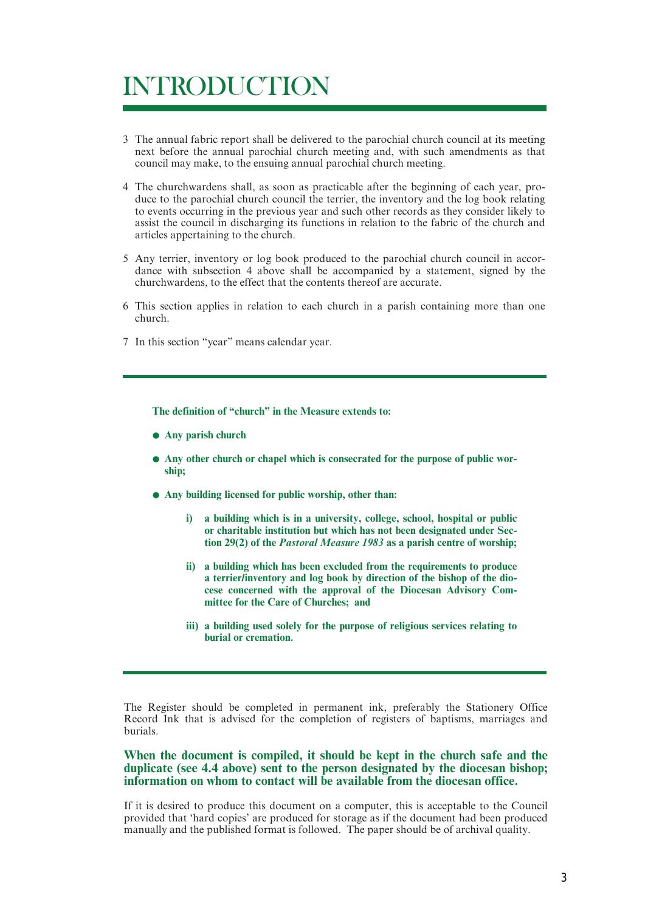# INTRODUCTION

- 3 The annual fabric report shall be delivered to the parochial church council at its meeting next before the annual parochial church meeting and, with such amendments as that council may make, to the ensuing annual parochial church meeting.
- 4 The churchwardens shall, as soon as practicable after the beginning of each year, produce to the parochial church council the terrier, the inventory and the log book relating to events occurring in the previous year and such other records as they consider likely to assist the council in discharging its functions in relation to the fabric of the church and articles appertaining to the church.
- 5 Any terrier, inventory or log book produced to the parochial church council in accordance with subsection 4 above shall be accompanied by a statement, signed by the churchwardens, to the effect that the contents thereof are accurate.
- 6 This section applies in relation to each church in a parish containing more than one church.
- 7 In this section "year" means calendar year.

**The definition of "church" in the Measure extends to:**

- **• Any parish church**
- **• Any other church or chapel which is consecrated for the purpose of public worship;**
- **• Any building licensed for public worship, other than:**
	- **i) a building which is in a university, college, school, hospital or public or charitable institution but which has not been designated under Section 29(2) of the** *Pastoral Measure 1983* **as a parish centre of worship;**
	- **ii) a building which has been excluded from the requirements to produce a terrier/inventory and log book by direction of the bishop of the diocese concerned with the approval of the Diocesan Advisory Committee for the Care of Churches; and**
	- **iii) a building used solely for the purpose of religious services relating to burial or cremation.**

The Register should be completed in permanent ink, preferably the Stationery Office Record Ink that is advised for the completion of registers of baptisms, marriages and burials.

## **When the document is compiled, it should be kept in the church safe and the duplicate (see 4.4 above) sent to the person designated by the diocesan bishop; information on whom to contact will be available from the diocesan office.**

If it is desired to produce this document on a computer, this is acceptable to the Council provided that 'hard copies' are produced for storage as if the document had been produced manually and the published format is followed. The paper should be of archival quality.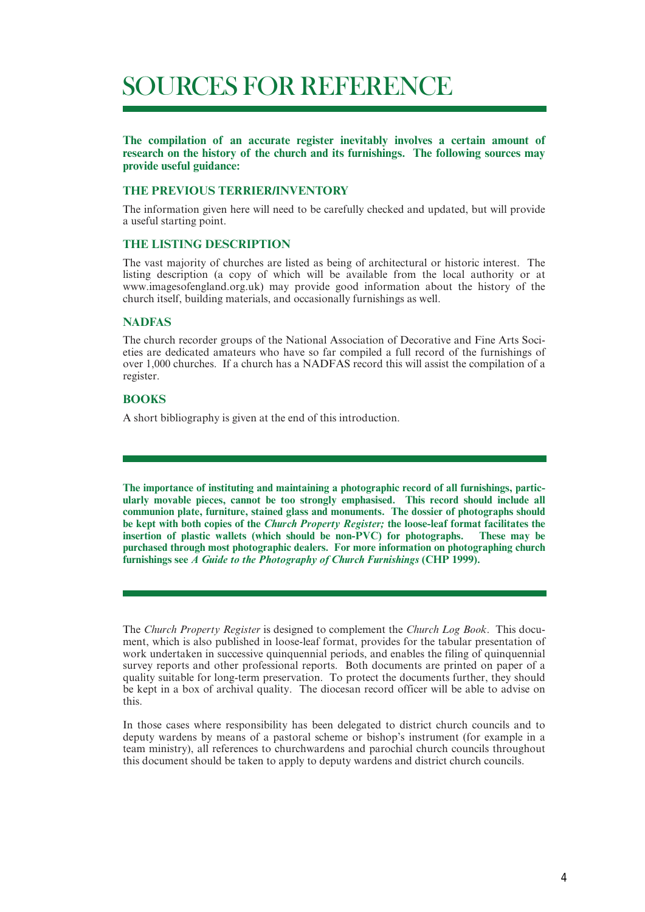# SOURCES FOR REFERENCE

**The compilation of an accurate register inevitably involves a certain amount of research on the history of the church and its furnishings. The following sources may provide useful guidance:**

#### **THE PREVIOUS TERRIER/INVENTORY**

The information given here will need to be carefully checked and updated, but will provide a useful starting point.

## **THE LISTING DESCRIPTION**

The vast majority of churches are listed as being of architectural or historic interest. The listing description (a copy of which will be available from the local authority or at www.imagesofengland.org.uk) may provide good information about the history of the church itself, building materials, and occasionally furnishings as well.

#### **NADFAS**

The church recorder groups of the National Association of Decorative and Fine Arts Societies are dedicated amateurs who have so far compiled a full record of the furnishings of over 1,000 churches. If a church has a NADFAS record this will assist the compilation of a register.

## **BOOKS**

A short bibliography is given at the end of this introduction.

**The importance of instituting and maintaining a photographic record of all furnishings, particularly movable pieces, cannot be too strongly emphasised. This record should include all communion plate, furniture, stained glass and monuments. The dossier of photographs should be kept with both copies of the** *Church Property Register;* **the loose-leaf format facilitates the insertion of plastic wallets (which should be non-PVC) for photographs. These may be purchased through most photographic dealers. For more information on photographing church furnishings see** *A Guide to the Photography of Church Furnishings* **(CHP 1999).**

The *Church Property Register* is designed to complement the *Church Log Book*. This document, which is also published in loose-leaf format, provides for the tabular presentation of work undertaken in successive quinquennial periods, and enables the filing of quinquennial survey reports and other professional reports. Both documents are printed on paper of a quality suitable for long-term preservation. To protect the documents further, they should be kept in a box of archival quality. The diocesan record officer will be able to advise on this.

In those cases where responsibility has been delegated to district church councils and to deputy wardens by means of a pastoral scheme or bishop's instrument (for example in a team ministry), all references to churchwardens and parochial church councils throughout this document should be taken to apply to deputy wardens and district church councils.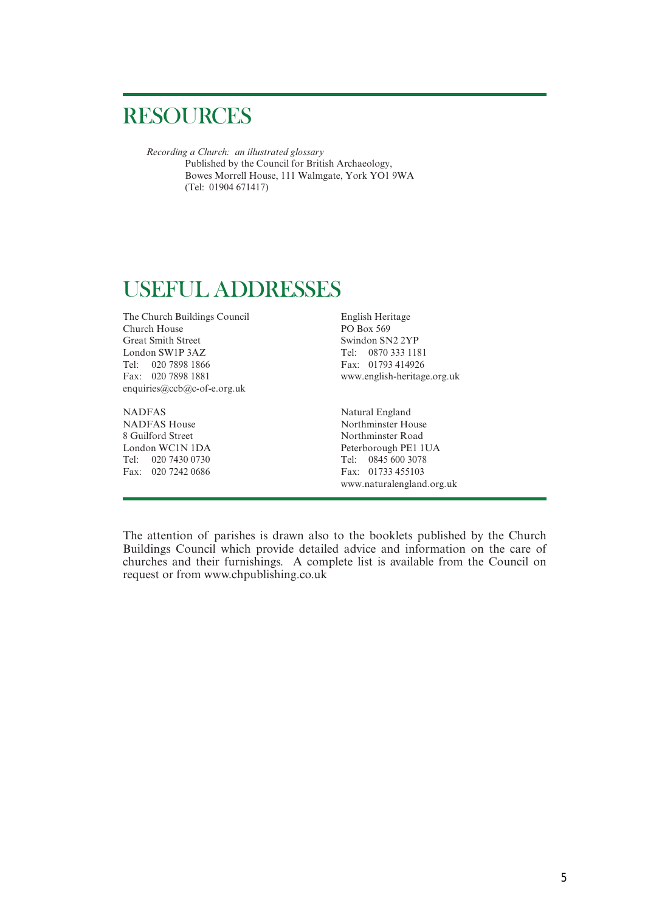## RESOURCES

*Recording a Church: an illustrated glossary* Published by the Council for British Archaeology, Bowes Morrell House, 111 Walmgate, York YO1 9WA (Tel: 01904 671417)

## USEFUL ADDRESSES

The Church Buildings Council English Heritage<br>Church House PO Box 569 Church House Great Smith Street Swindon SN2 2YP London SW1P 3AZ Tel: 0870 333 1181 Tel: 020 7898 1866 Fax: 01793 414926 Fax: 020 7898 1881 www.english-heritage.org.uk enquiries@ccb@c-of-e.org.uk

NADFAS<br>
NADFAS<br>
House Northminster House<br>
Northminster Ho NADFAS House Northminster House<br>8 Guilford Street Northminster Road Tel: 020 7430 0730<br>
Fax: 020 7242 0686<br>
Fax: 01733 455103 Fax: 020 7242 0686

Northminster Road London WC1N 1DA Peterborough PE1 1UA www.naturalengland.org.uk

The attention of parishes is drawn also to the booklets published by the Church Buildings Council which provide detailed advice and information on the care of churches and their furnishings. A complete list is available from the Council on request or from www.chpublishing.co.uk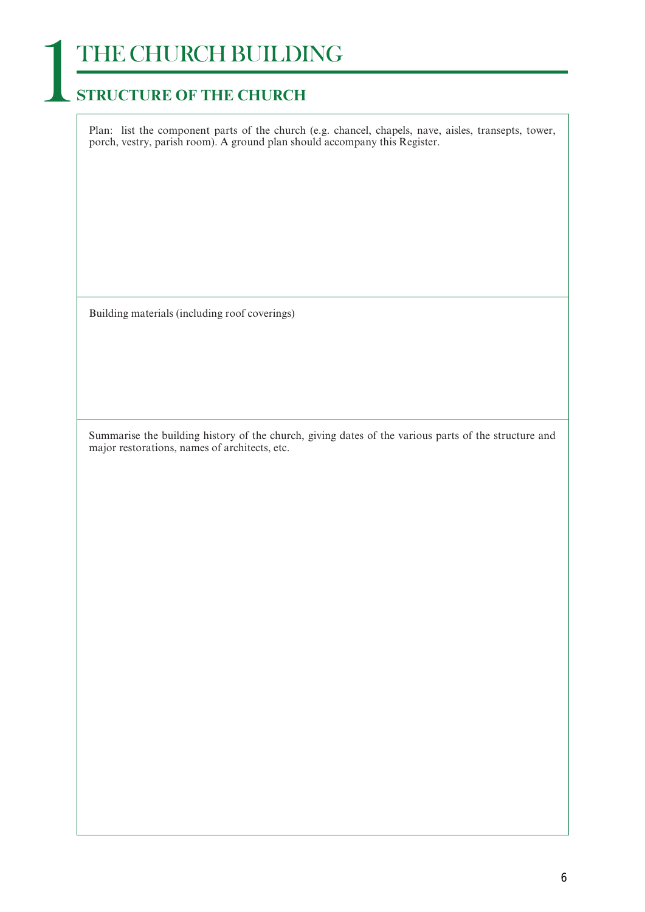# **THE CHURCH BUILDING**<br>**STRUCTURE OF THE CHURCH**

Plan: list the component parts of the church (e.g. chancel, chapels, nave, aisles, transepts, tower, porch, vestry, parish room). A ground plan should accompany this Register.

Building materials (including roof coverings)

Summarise the building history of the church, giving dates of the various parts of the structure and major restorations, names of architects, etc.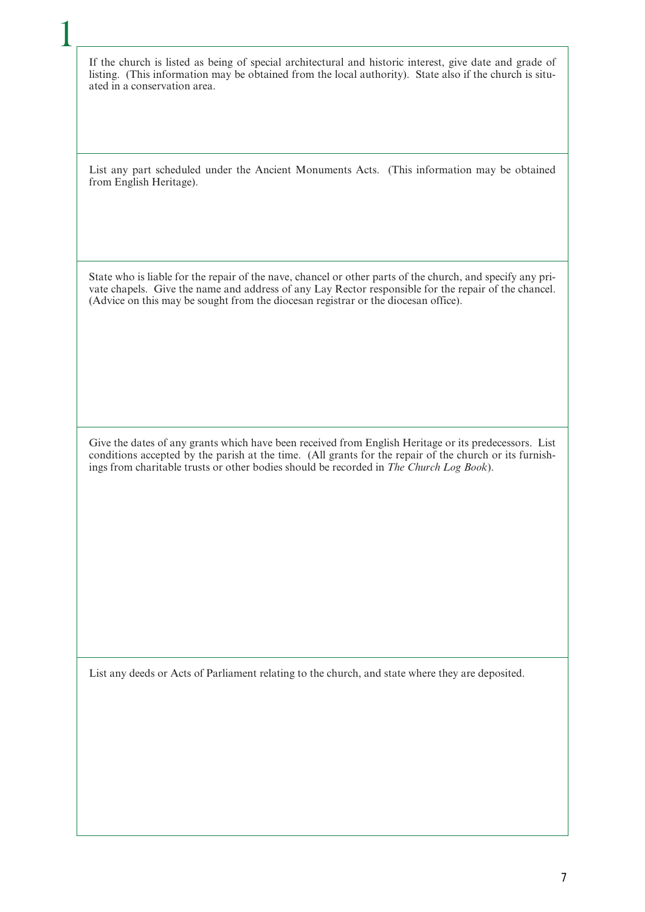If the church is listed as being of special architectural and historic interest, give date and grade of listing. (This information may be obtained from the local authority). State also if the church is situated in a conservation area.

1

List any part scheduled under the Ancient Monuments Acts. (This information may be obtained from English Heritage).

State who is liable for the repair of the nave, chancel or other parts of the church, and specify any private chapels. Give the name and address of any Lay Rector responsible for the repair of the chancel. (Advice on this may be sought from the diocesan registrar or the diocesan office).

Give the dates of any grants which have been received from English Heritage or its predecessors. List conditions accepted by the parish at the time. (All grants for the repair of the church or its furnishings from charitable trusts or other bodies should be recorded in *The Church Log Book*).

List any deeds or Acts of Parliament relating to the church, and state where they are deposited.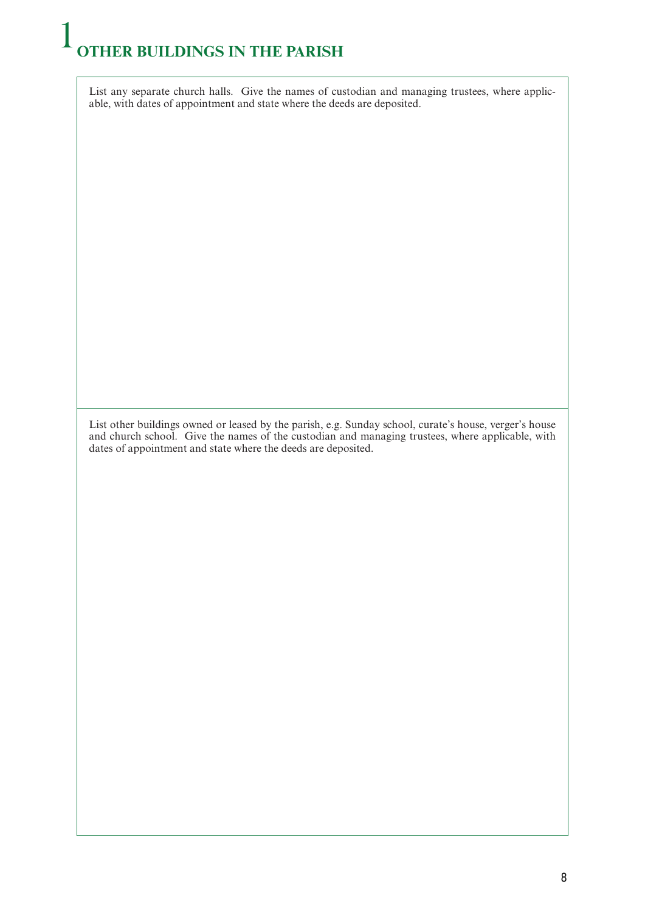# 1 **OTHER BUILDINGS IN THE PARISH**

List any separate church halls. Give the names of custodian and managing trustees, where applicable, with dates of appointment and state where the deeds are deposited.

List other buildings owned or leased by the parish, e.g. Sunday school, curate's house, verger's house and church school. Give the names of the custodian and managing trustees, where applicable, with dates of appointment and state where the deeds are deposited.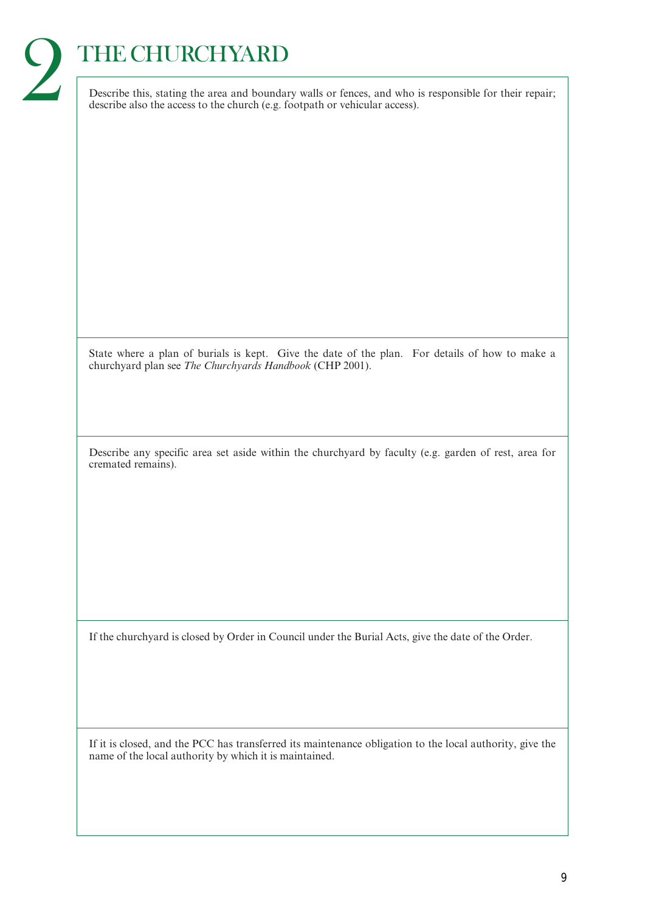# THE CHURCHYARD

2

Describe this, stating the area and boundary walls or fences, and who is responsible for their repair; describe also the access to the church (e.g. footpath or vehicular access).

State where a plan of burials is kept. Give the date of the plan. For details of how to make a churchyard plan see *The Churchyards Handbook* (CHP 2001).

Describe any specific area set aside within the churchyard by faculty (e.g. garden of rest, area for cremated remains).

If the churchyard is closed by Order in Council under the Burial Acts, give the date of the Order.

If it is closed, and the PCC has transferred its maintenance obligation to the local authority, give the name of the local authority by which it is maintained.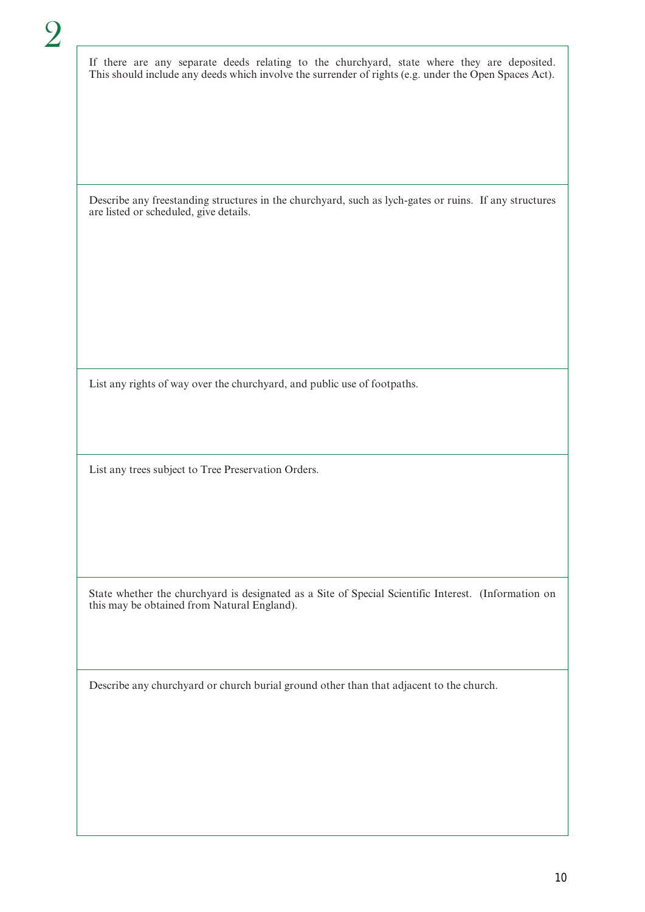If there are any separate deeds relating to the churchyard, state where they are deposited. This should include any deeds which involve the surrender of rights (e.g. under the Open Spaces Act).

Describe any freestanding structures in the churchyard, such as lych-gates or ruins. If any structures are listed or scheduled, give details.

List any rights of way over the churchyard, and public use of footpaths.

List any trees subject to Tree Preservation Orders.

State whether the churchyard is designated as a Site of Special Scientific Interest. (Information on this may be obtained from Natural England).

Describe any churchyard or church burial ground other than that adjacent to the church.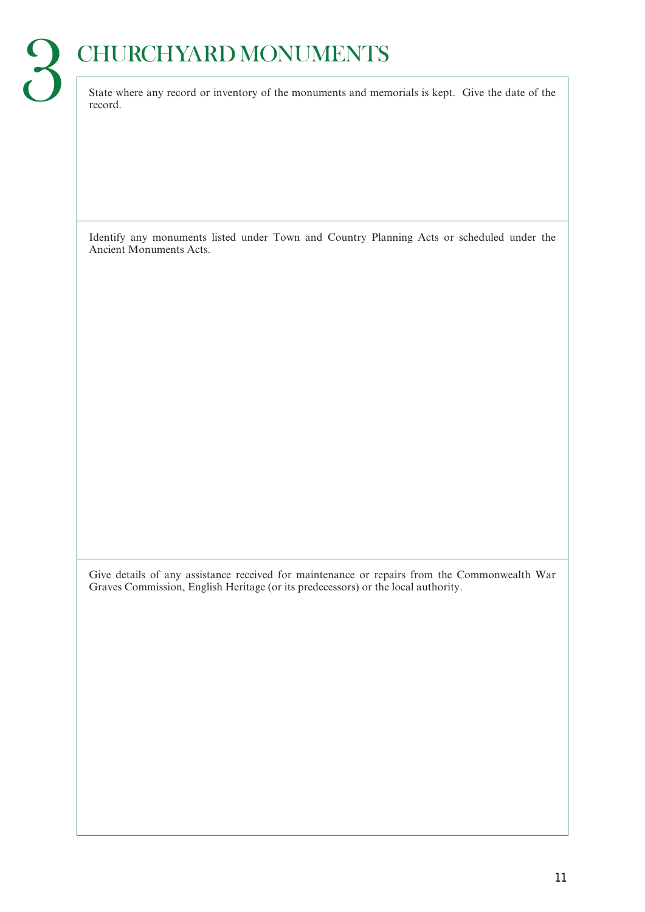# State where any record or inventory of the monuments and memorials is kept. Give the date of the

record.

Identify any monuments listed under Town and Country Planning Acts or scheduled under the Ancient Monuments Acts.

Give details of any assistance received for maintenance or repairs from the Commonwealth War Graves Commission, English Heritage (or its predecessors) or the local authority.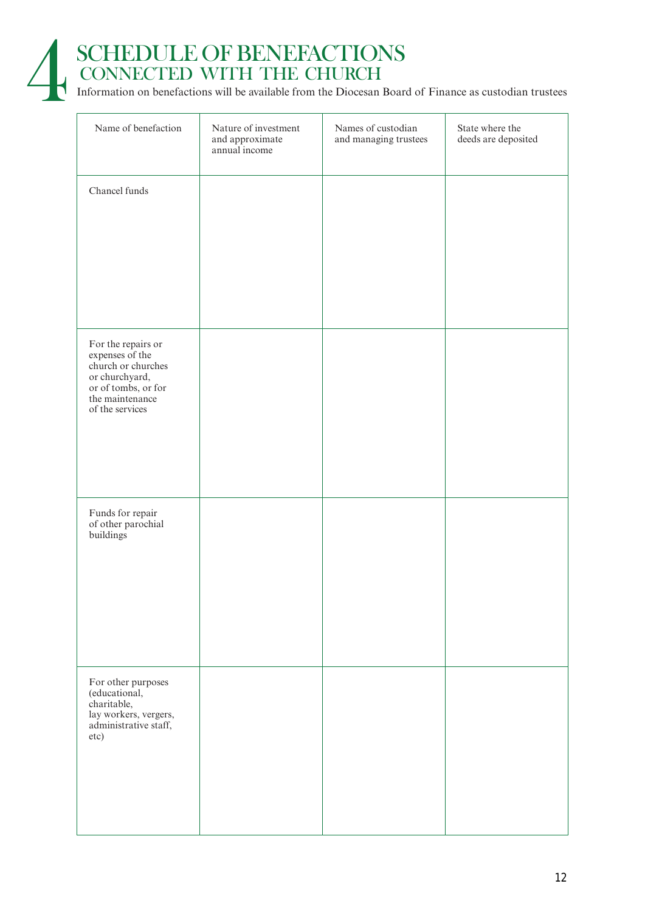

# SCHEDULE OF BENEFACTIONS<br>CONNECTED WITH THE CHURCH<br>Information on benefactions will be available from the Diocesan Boar CONNECTED WITH THE CHURCH

Information on benefactions will be available from the Diocesan Board of Finance as custodian trustees

| Name of benefaction                                                                                                                        | Nature of investment<br>and approximate<br>annual income | Names of custodian<br>and managing trustees | State where the<br>deeds are deposited |
|--------------------------------------------------------------------------------------------------------------------------------------------|----------------------------------------------------------|---------------------------------------------|----------------------------------------|
| Chancel funds                                                                                                                              |                                                          |                                             |                                        |
| For the repairs or<br>expenses of the<br>church or churches<br>or churchyard,<br>or of tombs, or for<br>the maintenance<br>of the services |                                                          |                                             |                                        |
| Funds for repair<br>of other parochial<br>buildings                                                                                        |                                                          |                                             |                                        |
| For other purposes<br>(educational,<br>charitable,<br>lay workers, vergers,<br>administrative staff,<br>etc)                               |                                                          |                                             |                                        |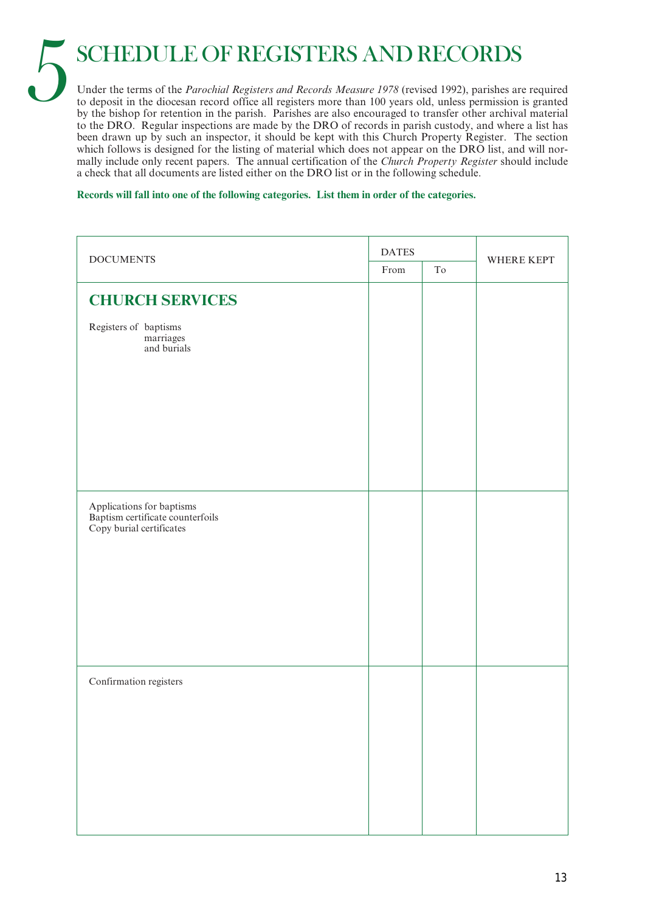5 SCHEDULE OF REGISTERS AND RECORDS

Under the terms of the *Parochial Registers and Records Measure 1978* (revised 1992), parishes are required to deposit in the diocesan record office all registers more than 100 years old, unless permission is granted by the bishop for retention in the parish. Parishes are also encouraged to transfer other archival material to the DRO. Regular inspections are made by the DRO of records in parish custody, and where a list has been drawn up by such an inspector, it should be kept with this Church Property Register. The section which follows is designed for the listing of material which does not appear on the DRO list, and will normally include only recent papers. The annual certification of the *Church Property Register* should include a check that all documents are listed either on the DRO list or in the following schedule.

**Records will fall into one of the following categories. List them in order of the categories.**

| <b>DOCUMENTS</b>                                                                          | <b>DATES</b> |                     | WHERE KEPT |
|-------------------------------------------------------------------------------------------|--------------|---------------------|------------|
|                                                                                           | From         | $\operatorname{To}$ |            |
| <b>CHURCH SERVICES</b>                                                                    |              |                     |            |
| Registers of baptisms<br>marriages<br>and burials                                         |              |                     |            |
|                                                                                           |              |                     |            |
|                                                                                           |              |                     |            |
| Applications for baptisms<br>Baptism certificate counterfoils<br>Copy burial certificates |              |                     |            |
|                                                                                           |              |                     |            |
|                                                                                           |              |                     |            |
| Confirmation registers                                                                    |              |                     |            |
|                                                                                           |              |                     |            |
|                                                                                           |              |                     |            |
|                                                                                           |              |                     |            |
|                                                                                           |              |                     |            |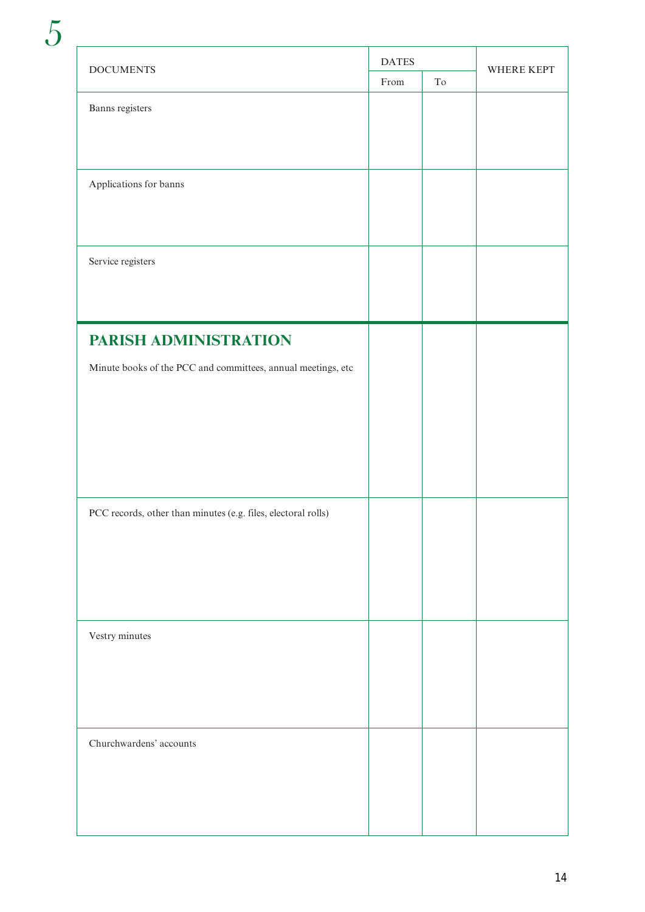| <b>DOCUMENTS</b>                                              |      |                     | WHERE KEPT |
|---------------------------------------------------------------|------|---------------------|------------|
|                                                               | From | $\operatorname{To}$ |            |
| Banns registers                                               |      |                     |            |
|                                                               |      |                     |            |
|                                                               |      |                     |            |
|                                                               |      |                     |            |
| Applications for banns                                        |      |                     |            |
|                                                               |      |                     |            |
|                                                               |      |                     |            |
| Service registers                                             |      |                     |            |
|                                                               |      |                     |            |
|                                                               |      |                     |            |
|                                                               |      |                     |            |
| PARISH ADMINISTRATION                                         |      |                     |            |
| Minute books of the PCC and committees, annual meetings, etc  |      |                     |            |
|                                                               |      |                     |            |
|                                                               |      |                     |            |
|                                                               |      |                     |            |
|                                                               |      |                     |            |
|                                                               |      |                     |            |
|                                                               |      |                     |            |
| PCC records, other than minutes (e.g. files, electoral rolls) |      |                     |            |
|                                                               |      |                     |            |
|                                                               |      |                     |            |
|                                                               |      |                     |            |
|                                                               |      |                     |            |
|                                                               |      |                     |            |
| Vestry minutes                                                |      |                     |            |
|                                                               |      |                     |            |
|                                                               |      |                     |            |
|                                                               |      |                     |            |
|                                                               |      |                     |            |
| Churchwardens' accounts                                       |      |                     |            |
|                                                               |      |                     |            |
|                                                               |      |                     |            |
|                                                               |      |                     |            |
|                                                               |      |                     |            |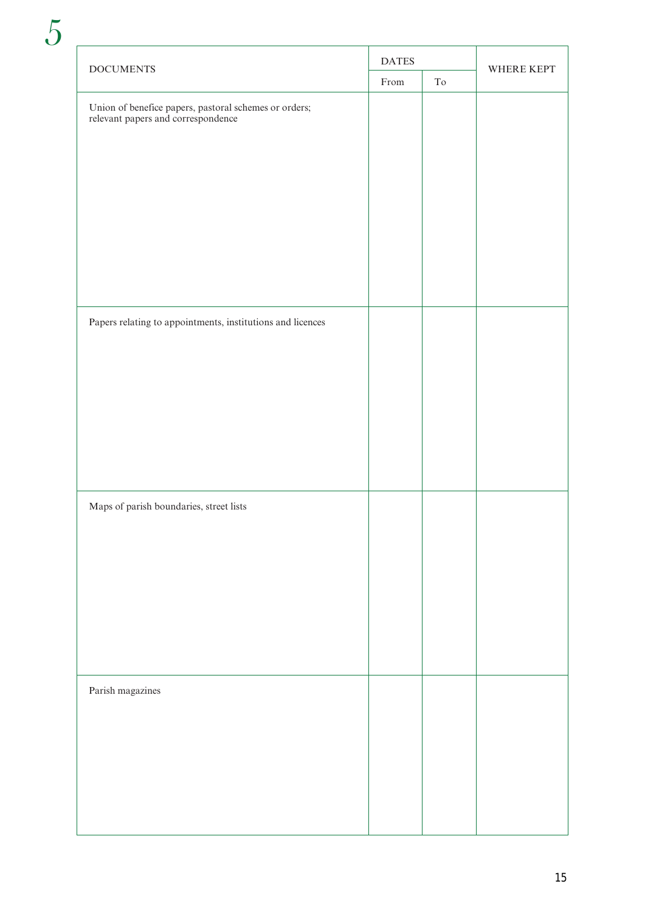| <b>DOCUMENTS</b>                                                                            | <b>DATES</b> |                     | WHERE KEPT |
|---------------------------------------------------------------------------------------------|--------------|---------------------|------------|
|                                                                                             | From         | $\operatorname{To}$ |            |
| Union of benefice papers, pastoral schemes or orders;<br>relevant papers and correspondence |              |                     |            |
|                                                                                             |              |                     |            |
| Papers relating to appointments, institutions and licences                                  |              |                     |            |
| Maps of parish boundaries, street lists                                                     |              |                     |            |
| Parish magazines                                                                            |              |                     |            |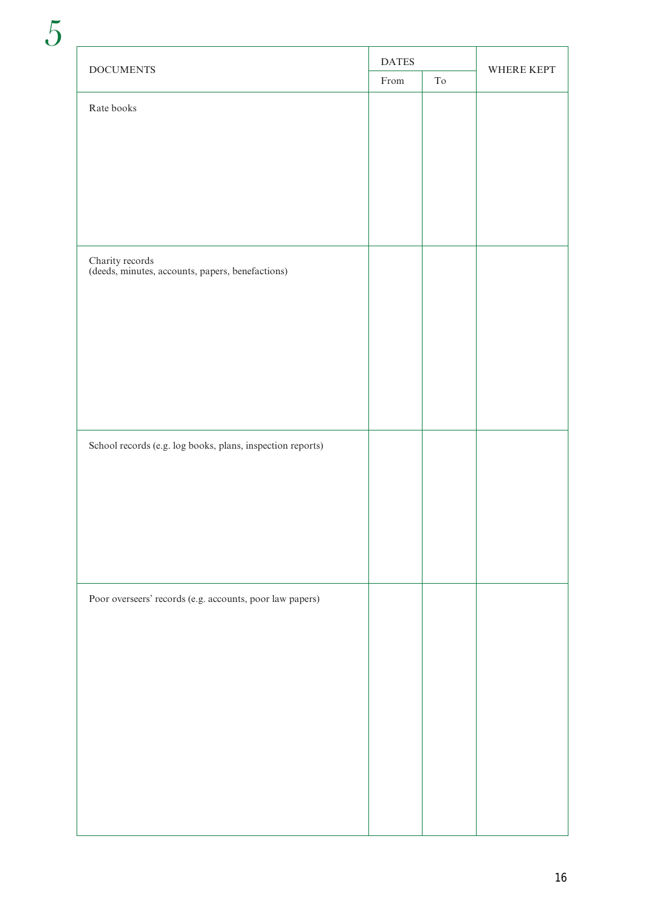| $\operatorname{DOCUMENTS}$                                          | <b>DATES</b> |    | WHERE KEPT |
|---------------------------------------------------------------------|--------------|----|------------|
|                                                                     | From         | To |            |
| Rate books                                                          |              |    |            |
|                                                                     |              |    |            |
|                                                                     |              |    |            |
|                                                                     |              |    |            |
|                                                                     |              |    |            |
|                                                                     |              |    |            |
|                                                                     |              |    |            |
|                                                                     |              |    |            |
| Charity records<br>(deeds, minutes, accounts, papers, benefactions) |              |    |            |
|                                                                     |              |    |            |
|                                                                     |              |    |            |
|                                                                     |              |    |            |
|                                                                     |              |    |            |
|                                                                     |              |    |            |
|                                                                     |              |    |            |
|                                                                     |              |    |            |
| School records (e.g. log books, plans, inspection reports)          |              |    |            |
|                                                                     |              |    |            |
|                                                                     |              |    |            |
|                                                                     |              |    |            |
|                                                                     |              |    |            |
|                                                                     |              |    |            |
|                                                                     |              |    |            |
| Poor overseers' records (e.g. accounts, poor law papers)            |              |    |            |
|                                                                     |              |    |            |
|                                                                     |              |    |            |
|                                                                     |              |    |            |
|                                                                     |              |    |            |
|                                                                     |              |    |            |
|                                                                     |              |    |            |
|                                                                     |              |    |            |
|                                                                     |              |    |            |
|                                                                     |              |    |            |
|                                                                     |              |    |            |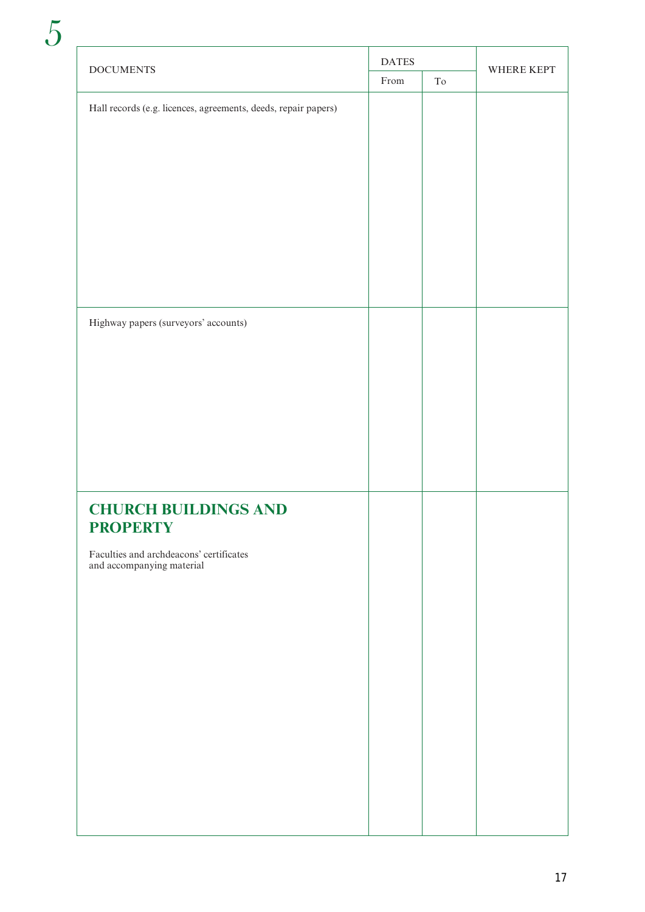| <b>DOCUMENTS</b>                                               |      |                     | WHERE KEPT |
|----------------------------------------------------------------|------|---------------------|------------|
|                                                                | From | $\operatorname{To}$ |            |
| Hall records (e.g. licences, agreements, deeds, repair papers) |      |                     |            |
|                                                                |      |                     |            |
|                                                                |      |                     |            |
|                                                                |      |                     |            |
|                                                                |      |                     |            |
|                                                                |      |                     |            |
|                                                                |      |                     |            |
|                                                                |      |                     |            |
|                                                                |      |                     |            |
|                                                                |      |                     |            |
| Highway papers (surveyors' accounts)                           |      |                     |            |
|                                                                |      |                     |            |
|                                                                |      |                     |            |
|                                                                |      |                     |            |
|                                                                |      |                     |            |
|                                                                |      |                     |            |
|                                                                |      |                     |            |
|                                                                |      |                     |            |
| <b>CHURCH BUILDINGS AND</b><br><b>PROPERTY</b>                 |      |                     |            |
| Faculties and archdeacons' certificates                        |      |                     |            |
| and accompanying material                                      |      |                     |            |
|                                                                |      |                     |            |
|                                                                |      |                     |            |
|                                                                |      |                     |            |
|                                                                |      |                     |            |
|                                                                |      |                     |            |
|                                                                |      |                     |            |
|                                                                |      |                     |            |
|                                                                |      |                     |            |
|                                                                |      |                     |            |
|                                                                |      |                     |            |
|                                                                |      |                     |            |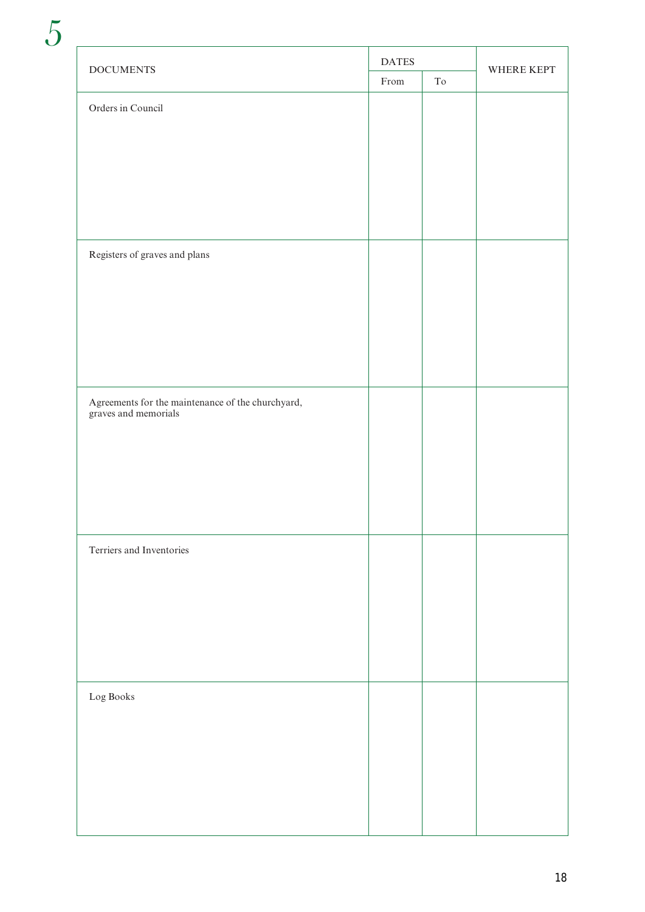| $\operatorname{DOCUMENTS}$                                                | $\mathop{\sf DATES}\nolimits$                    |                     | WHERE KEPT |
|---------------------------------------------------------------------------|--------------------------------------------------|---------------------|------------|
|                                                                           | $\ensuremath{\mathop{\text{\rm From}}\nolimits}$ | $\operatorname{To}$ |            |
| Orders in Council                                                         |                                                  |                     |            |
|                                                                           |                                                  |                     |            |
|                                                                           |                                                  |                     |            |
|                                                                           |                                                  |                     |            |
|                                                                           |                                                  |                     |            |
|                                                                           |                                                  |                     |            |
|                                                                           |                                                  |                     |            |
| Registers of graves and plans                                             |                                                  |                     |            |
|                                                                           |                                                  |                     |            |
|                                                                           |                                                  |                     |            |
|                                                                           |                                                  |                     |            |
|                                                                           |                                                  |                     |            |
|                                                                           |                                                  |                     |            |
|                                                                           |                                                  |                     |            |
| Agreements for the maintenance of the churchyard,<br>graves and memorials |                                                  |                     |            |
|                                                                           |                                                  |                     |            |
|                                                                           |                                                  |                     |            |
|                                                                           |                                                  |                     |            |
|                                                                           |                                                  |                     |            |
|                                                                           |                                                  |                     |            |
| Terriers and Inventories                                                  |                                                  |                     |            |
|                                                                           |                                                  |                     |            |
|                                                                           |                                                  |                     |            |
|                                                                           |                                                  |                     |            |
|                                                                           |                                                  |                     |            |
|                                                                           |                                                  |                     |            |
| Log Books                                                                 |                                                  |                     |            |
|                                                                           |                                                  |                     |            |
|                                                                           |                                                  |                     |            |
|                                                                           |                                                  |                     |            |
|                                                                           |                                                  |                     |            |
|                                                                           |                                                  |                     |            |
|                                                                           |                                                  |                     |            |
|                                                                           |                                                  |                     |            |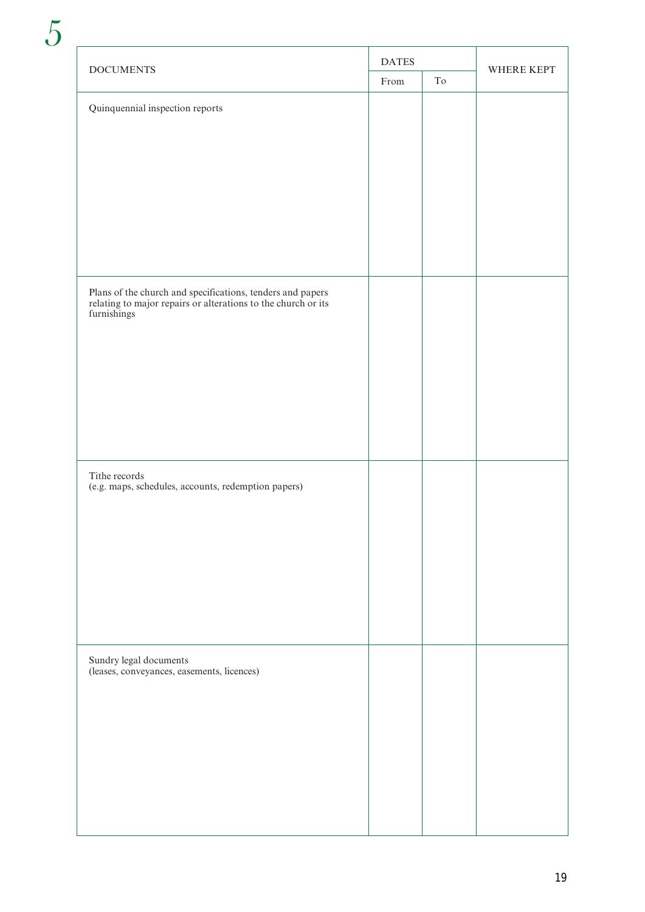| <b>DOCUMENTS</b>                                                                                                                                                              | <b>DATES</b> |    | WHERE KEPT |
|-------------------------------------------------------------------------------------------------------------------------------------------------------------------------------|--------------|----|------------|
|                                                                                                                                                                               | From         | To |            |
| Quinquennial inspection reports<br>Plans of the church and specifications, tenders and papers<br>relating to major repairs or alterations to the church or its<br>furnishings |              |    |            |
| Tithe records                                                                                                                                                                 |              |    |            |
| (e.g. maps, schedules, accounts, redemption papers)                                                                                                                           |              |    |            |
| Sundry legal documents<br>(leases, conveyances, easements, licences)                                                                                                          |              |    |            |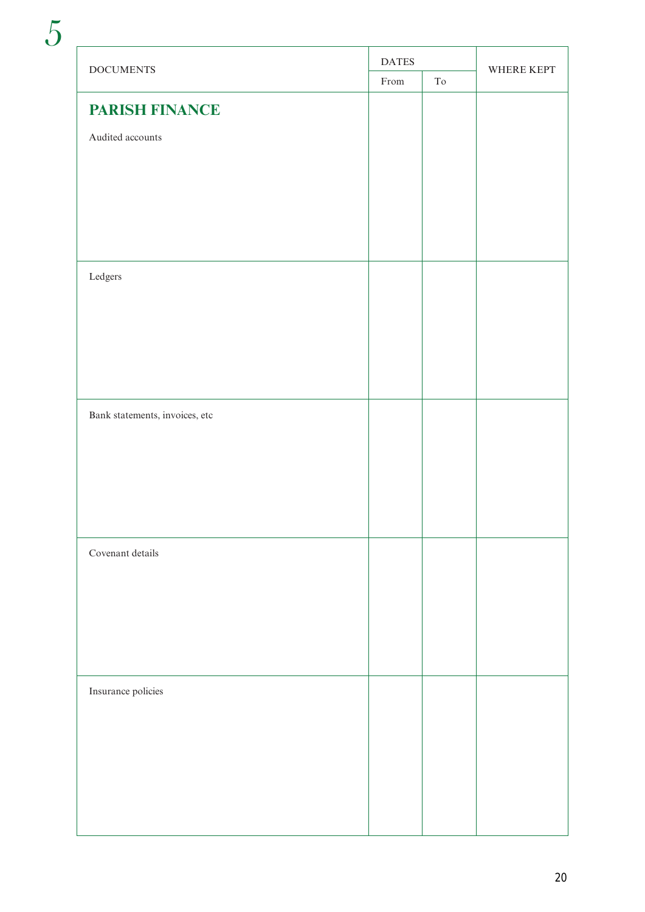| <b>DOCUMENTS</b>               | <b>DATES</b>                                     |                     | WHERE KEPT |
|--------------------------------|--------------------------------------------------|---------------------|------------|
|                                | $\ensuremath{\mathop{\text{\rm From}}\nolimits}$ | $\operatorname{To}$ |            |
| <b>PARISH FINANCE</b>          |                                                  |                     |            |
| Audited accounts               |                                                  |                     |            |
|                                |                                                  |                     |            |
|                                |                                                  |                     |            |
|                                |                                                  |                     |            |
|                                |                                                  |                     |            |
|                                |                                                  |                     |            |
| Ledgers                        |                                                  |                     |            |
|                                |                                                  |                     |            |
|                                |                                                  |                     |            |
|                                |                                                  |                     |            |
|                                |                                                  |                     |            |
|                                |                                                  |                     |            |
| Bank statements, invoices, etc |                                                  |                     |            |
|                                |                                                  |                     |            |
|                                |                                                  |                     |            |
|                                |                                                  |                     |            |
|                                |                                                  |                     |            |
|                                |                                                  |                     |            |
| Covenant details               |                                                  |                     |            |
|                                |                                                  |                     |            |
|                                |                                                  |                     |            |
|                                |                                                  |                     |            |
|                                |                                                  |                     |            |
|                                |                                                  |                     |            |
| Insurance policies             |                                                  |                     |            |
|                                |                                                  |                     |            |
|                                |                                                  |                     |            |
|                                |                                                  |                     |            |
|                                |                                                  |                     |            |
|                                |                                                  |                     |            |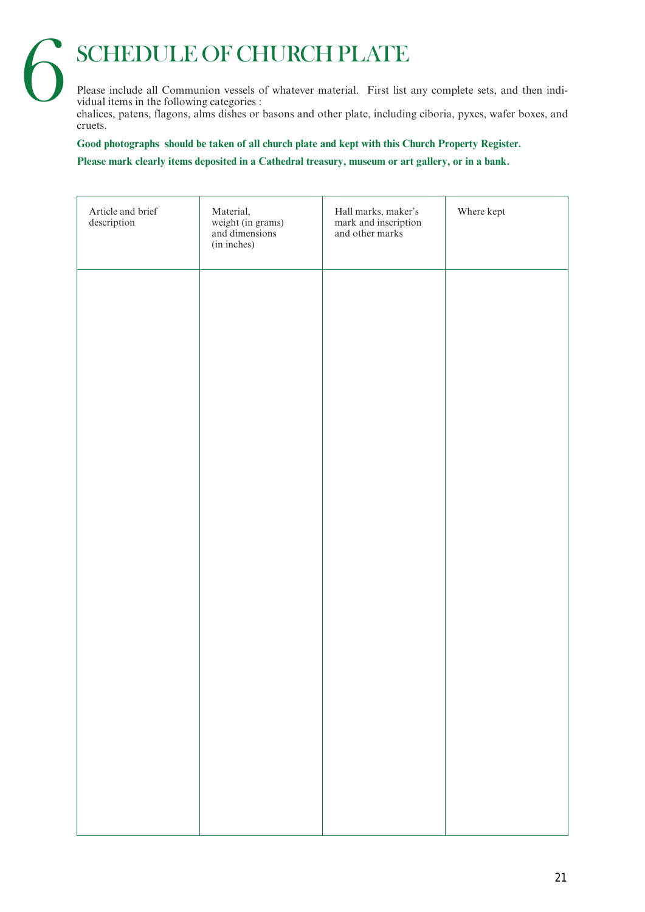# **SCHEDULE OF CHURCH PLATE**

Please include all Communion vessels of whatever material. First list any complete sets, and then individual items in the following categories :

chalices, patens, flagons, alms dishes or basons and other plate, including ciboria, pyxes, wafer boxes, and cruets.

**Good photographs should be taken of all church plate and kept with this Church Property Register.**

**Please mark clearly items deposited in a Cathedral treasury, museum or art gallery, or in a bank.**

| Article and brief<br>$\operatorname{description}$ | Material,<br>weight (in grams)<br>and dimensions<br>(in inches) | Hall marks, maker's<br>mark and inscription<br>and other marks | Where kept |
|---------------------------------------------------|-----------------------------------------------------------------|----------------------------------------------------------------|------------|
|                                                   |                                                                 |                                                                |            |
|                                                   |                                                                 |                                                                |            |
|                                                   |                                                                 |                                                                |            |
|                                                   |                                                                 |                                                                |            |
|                                                   |                                                                 |                                                                |            |
|                                                   |                                                                 |                                                                |            |
|                                                   |                                                                 |                                                                |            |
|                                                   |                                                                 |                                                                |            |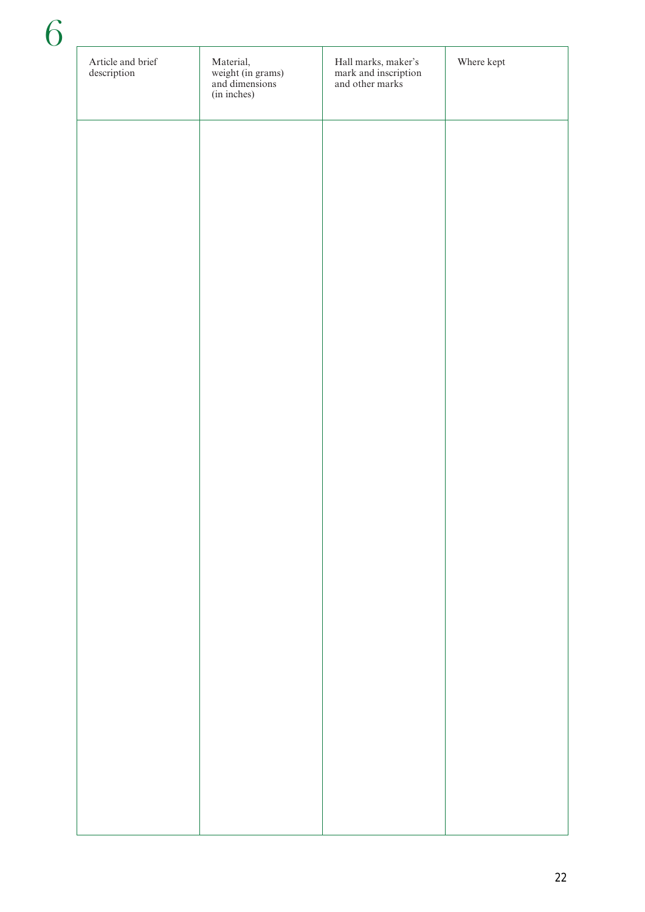| Article and brief<br>description | Material,<br>weight (in grams)<br>and dimensions<br>(in inches) | Hall marks, maker's<br>mark and inscription<br>and other marks | Where kept |
|----------------------------------|-----------------------------------------------------------------|----------------------------------------------------------------|------------|
|                                  |                                                                 |                                                                |            |
|                                  |                                                                 |                                                                |            |
|                                  |                                                                 |                                                                |            |
|                                  |                                                                 |                                                                |            |
|                                  |                                                                 |                                                                |            |
|                                  |                                                                 |                                                                |            |
|                                  |                                                                 |                                                                |            |
|                                  |                                                                 |                                                                |            |
|                                  |                                                                 |                                                                |            |
|                                  |                                                                 |                                                                |            |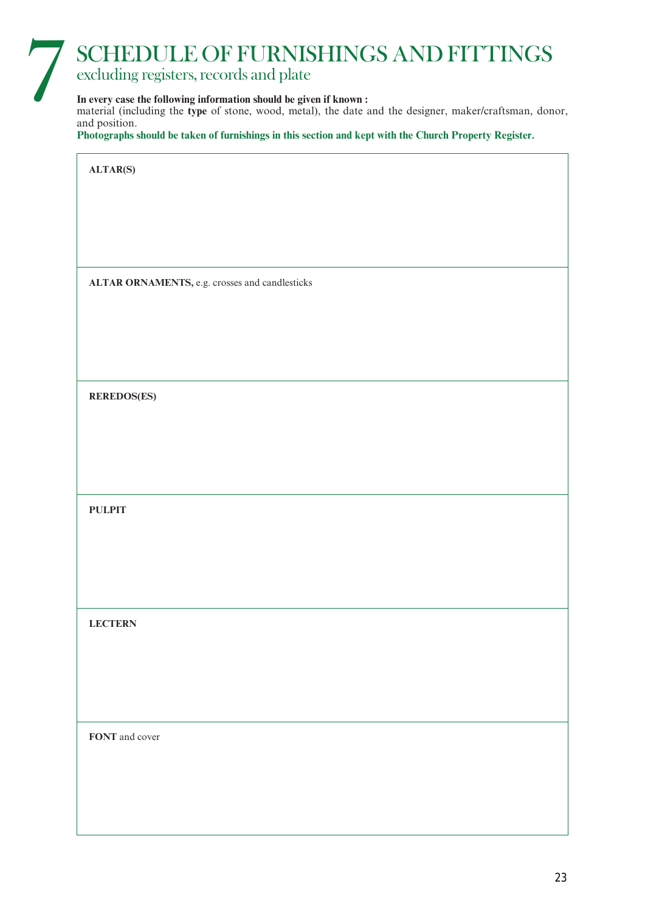# 7 SCHEDULE OF FURNISHINGS AND FITTINGS

## excluding registers, records and plate

## **In every case the following information should be given if known :**

material (including the **type** of stone, wood, metal), the date and the designer, maker/craftsman, donor, and position.

**Photographs should be taken of furnishings in this section and kept with the Church Property Register.**

**ALTAR(S)**

**ALTAR ORNAMENTS,** e.g. crosses and candlesticks

**REREDOS(ES)**

**PULPIT**

**LECTERN**

**FONT** and cover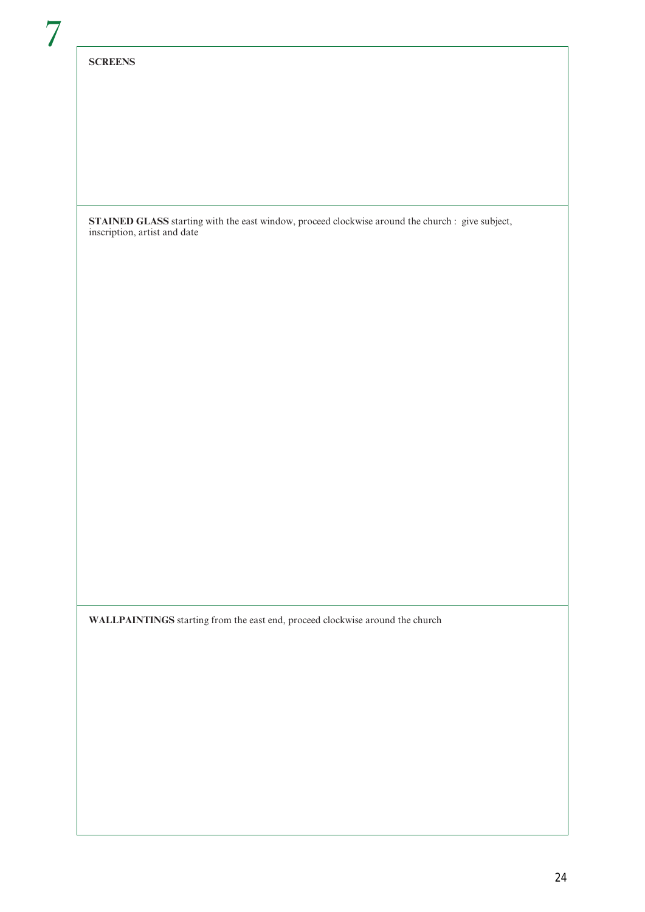## **SCREENS**

**STAINED GLASS** starting with the east window, proceed clockwise around the church : give subject, inscription, artist and date

**WALLPAINTINGS** starting from the east end, proceed clockwise around the church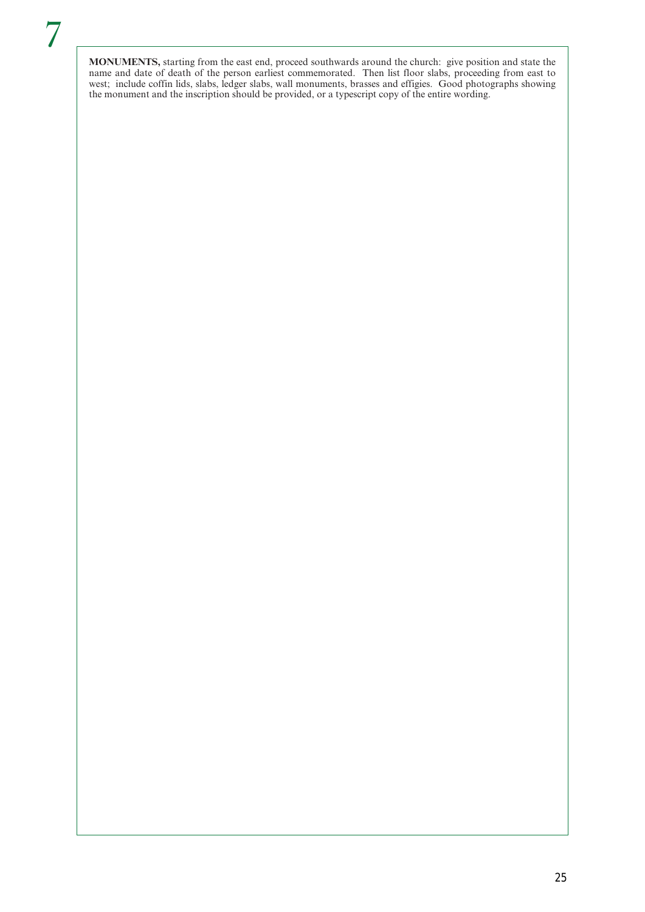**MONUMENTS,** starting from the east end, proceed southwards around the church: give position and state the name and date of death of the person earliest commemorated. Then list floor slabs, proceeding from east to west; include coffin lids, slabs, ledger slabs, wall monuments, brasses and effigies. Good photographs showing the monument and the inscription should be provided, or a typescript copy of the entire wording.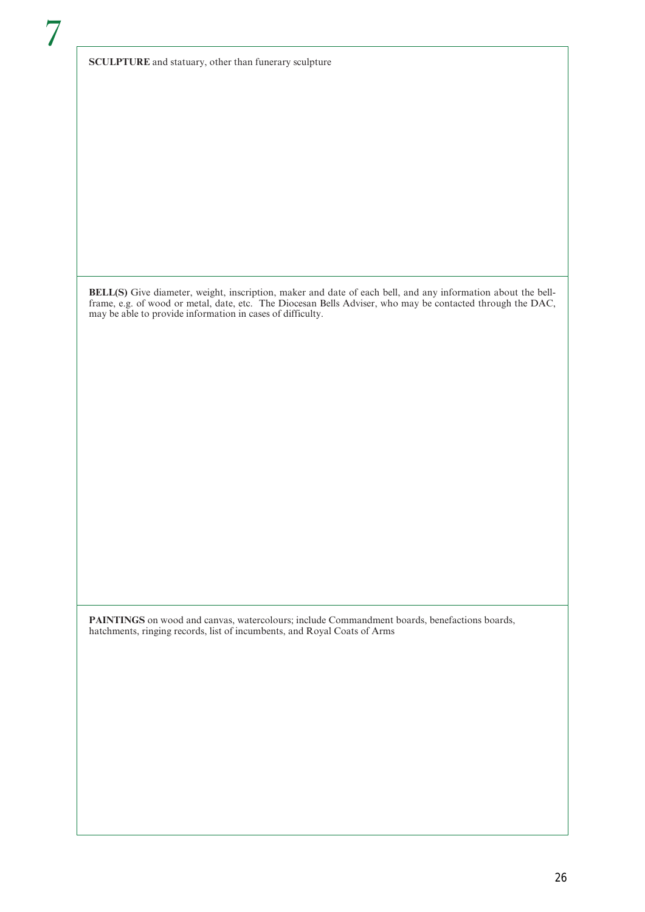**SCULPTURE** and statuary, other than funerary sculpture

**BELL(S)** Give diameter, weight, inscription, maker and date of each bell, and any information about the bellframe, e.g. of wood or metal, date, etc. The Diocesan Bells Adviser, who may be contacted through the DAC, may be able to provide information in cases of difficulty.

**PAINTINGS** on wood and canvas, watercolours; include Commandment boards, benefactions boards, hatchments, ringing records, list of incumbents, and Royal Coats of Arms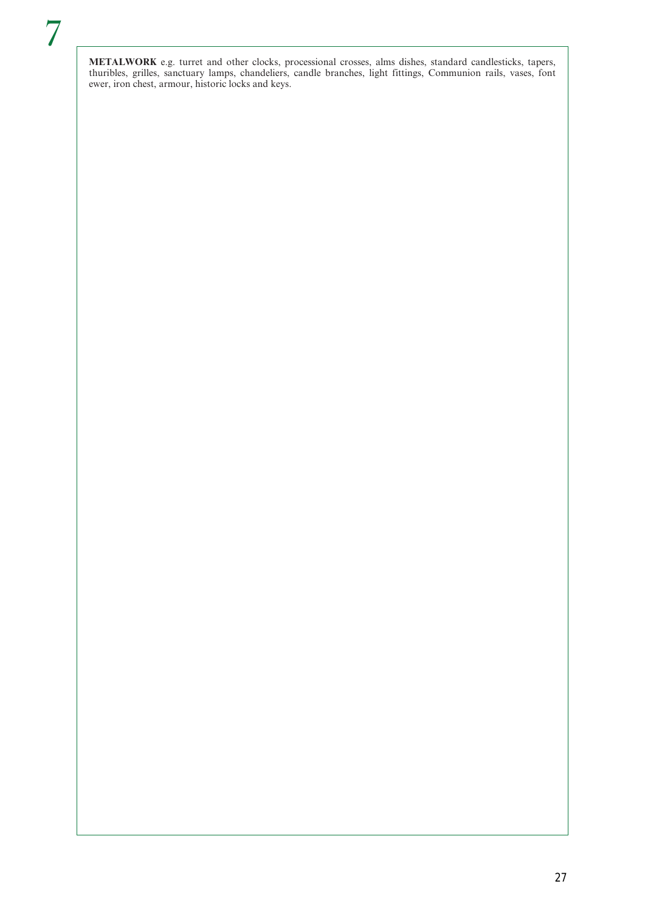**METALWORK** e.g. turret and other clocks, processional crosses, alms dishes, standard candlesticks, tapers, thuribles, grilles, sanctuary lamps, chandeliers, candle branches, light fittings, Communion rails, vases, font ewer, iron chest, armour, historic locks and keys.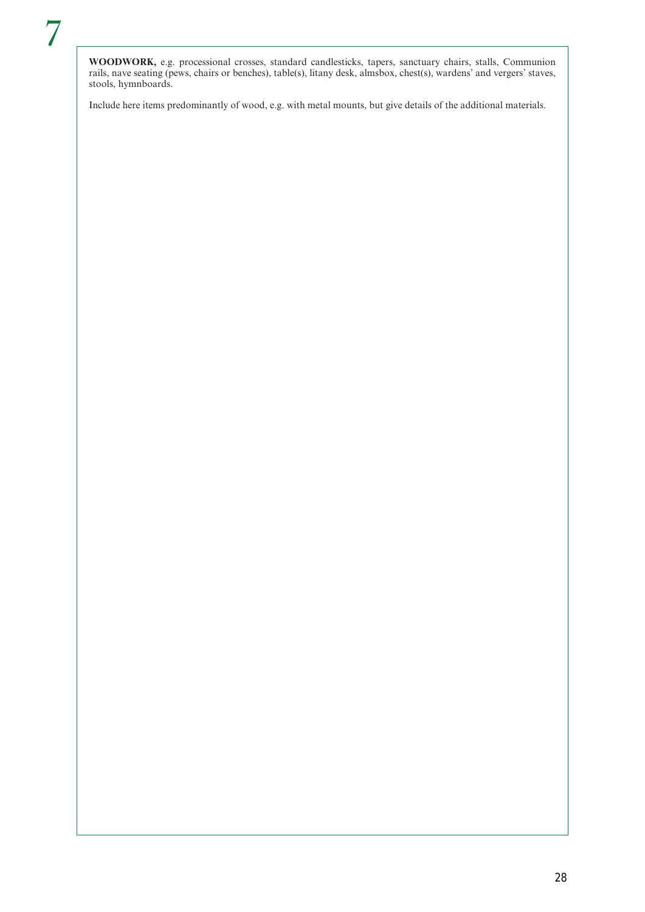**WOODWORK,** e.g. processional crosses, standard candlesticks, tapers, sanctuary chairs, stalls, Communion rails, nave seating (pews, chairs or benches), table(s), litany desk, almsbox, chest(s), wardens' and vergers' staves, stools, hymnboards.

Include here items predominantly of wood, e.g. with metal mounts, but give details of the additional materials.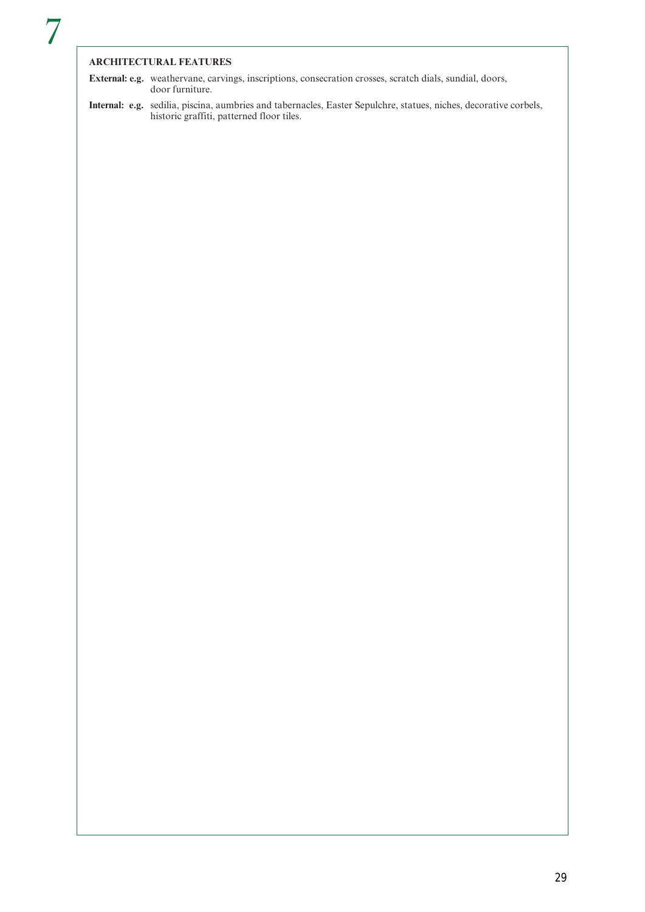## **ARCHITECTURAL FEATURES**

**External: e.g.** weathervane, carvings, inscriptions, consecration crosses, scratch dials, sundial, doors, door furniture.

**Internal: e.g.** sedilia, piscina, aumbries and tabernacles, Easter Sepulchre, statues, niches, decorative corbels, historic graffiti, patterned floor tiles.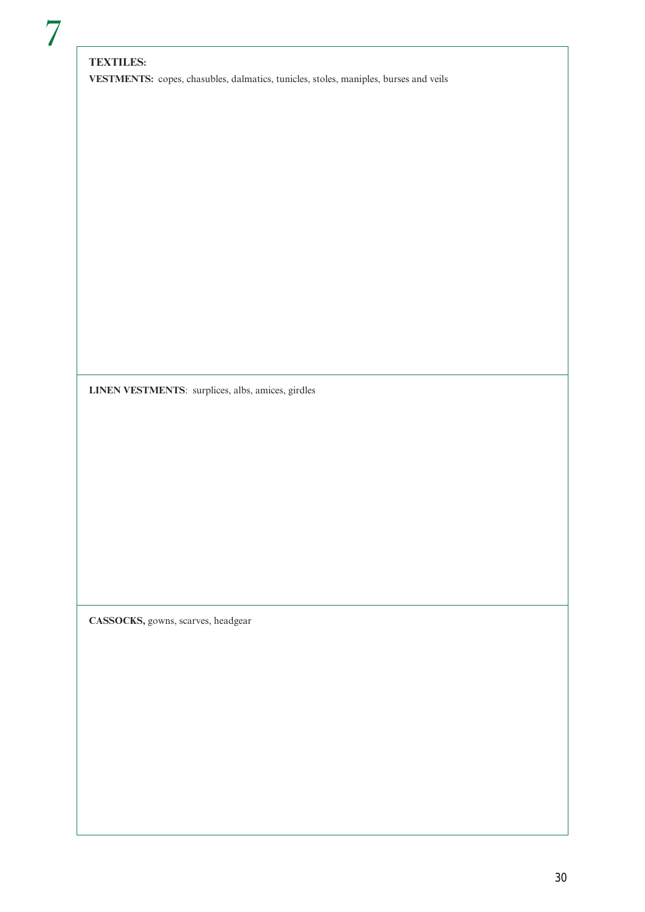## **TEXTILES:**

**VESTMENTS:** copes, chasubles, dalmatics, tunicles, stoles, maniples, burses and veils

**LINEN VESTMENTS**: surplices, albs, amices, girdles

**CASSOCKS,** gowns, scarves, headgear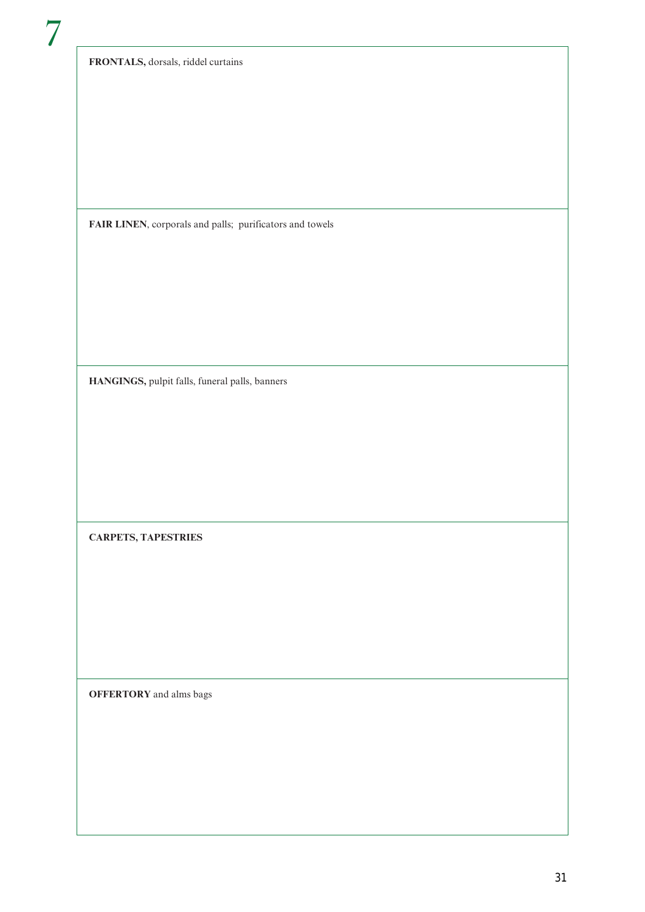**FRONTALS,** dorsals, riddel curtains

**FAIR LINEN**, corporals and palls; purificators and towels

**HANGINGS,** pulpit falls, funeral palls, banners

**CARPETS, TAPESTRIES**

**OFFERTORY** and alms bags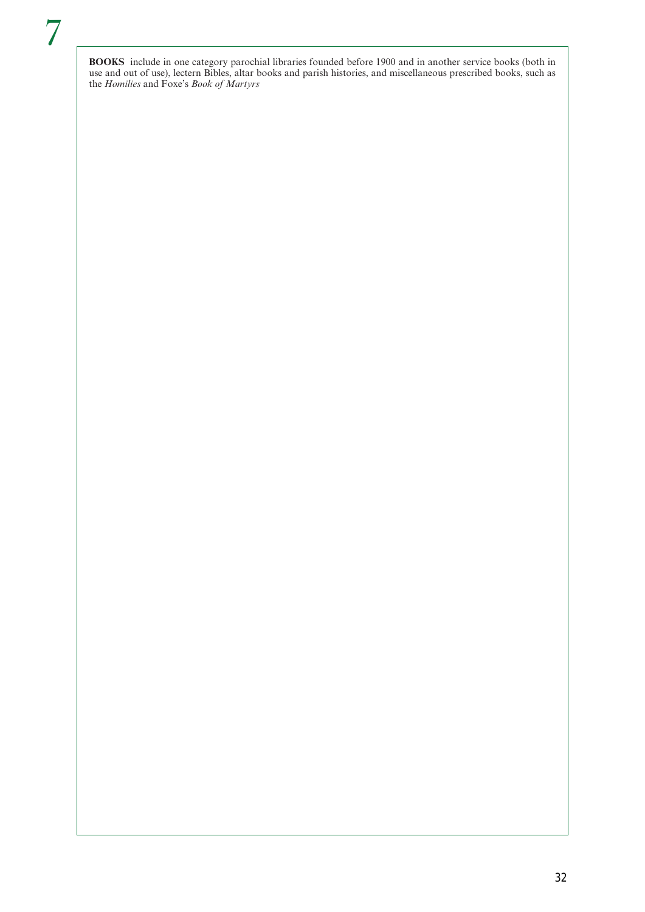**BOOKS** include in one category parochial libraries founded before 1900 and in another service books (both in use and out of use), lectern Bibles, altar books and parish histories, and miscellaneous prescribed books, such as the *Homilies* and Foxe's *Book of Martyrs*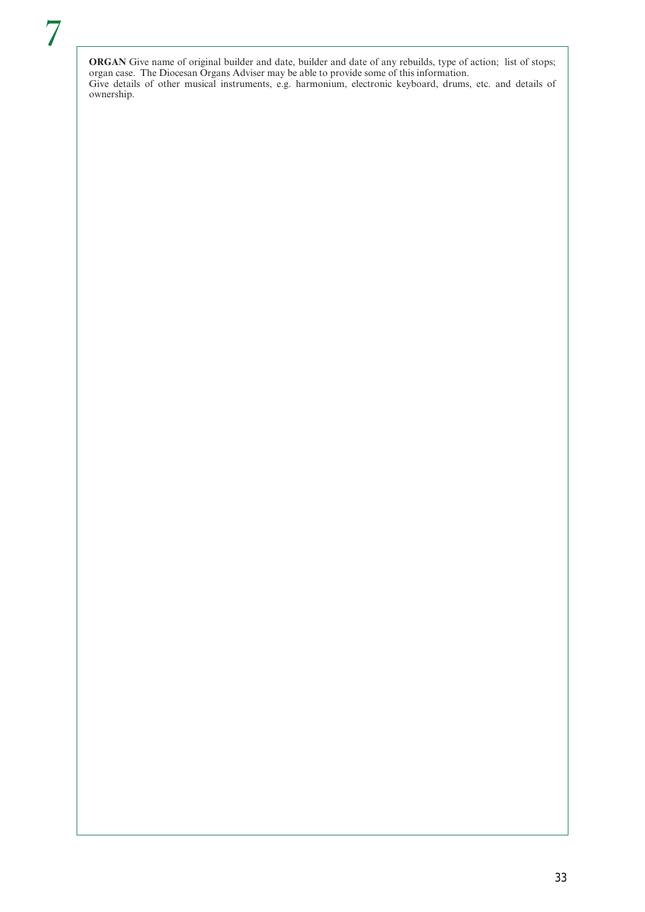**ORGAN** Give name of original builder and date, builder and date of any rebuilds, type of action; list of stops; organ case. The Diocesan Organs Adviser may be able to provide some of this information. Give details of other musical instruments, e.g. harmonium, electronic keyboard, drums, etc. and details of ownership.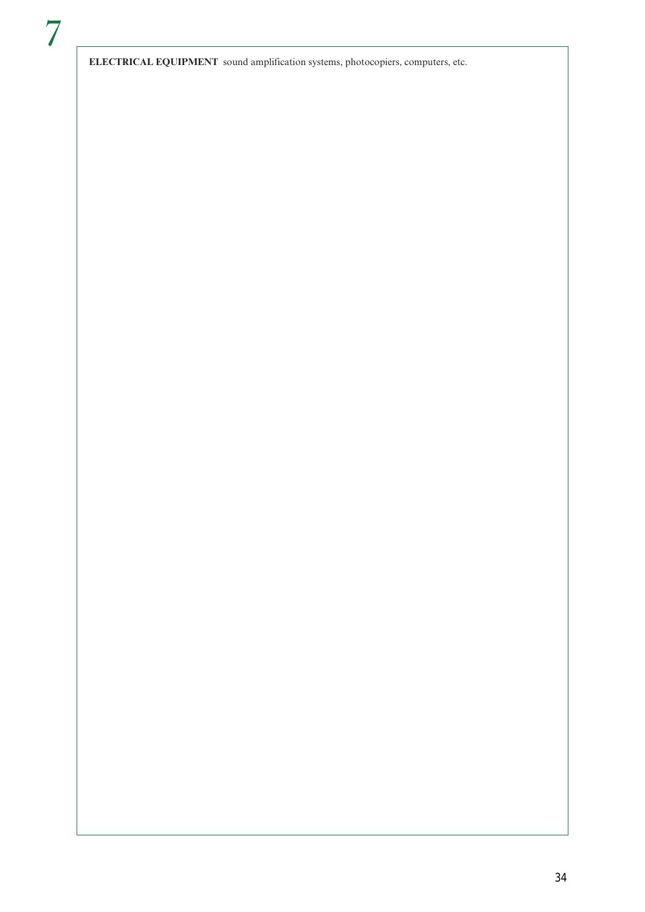**ELECTRICAL EQUIPMENT** sound amplification systems, photocopiers, computers, etc.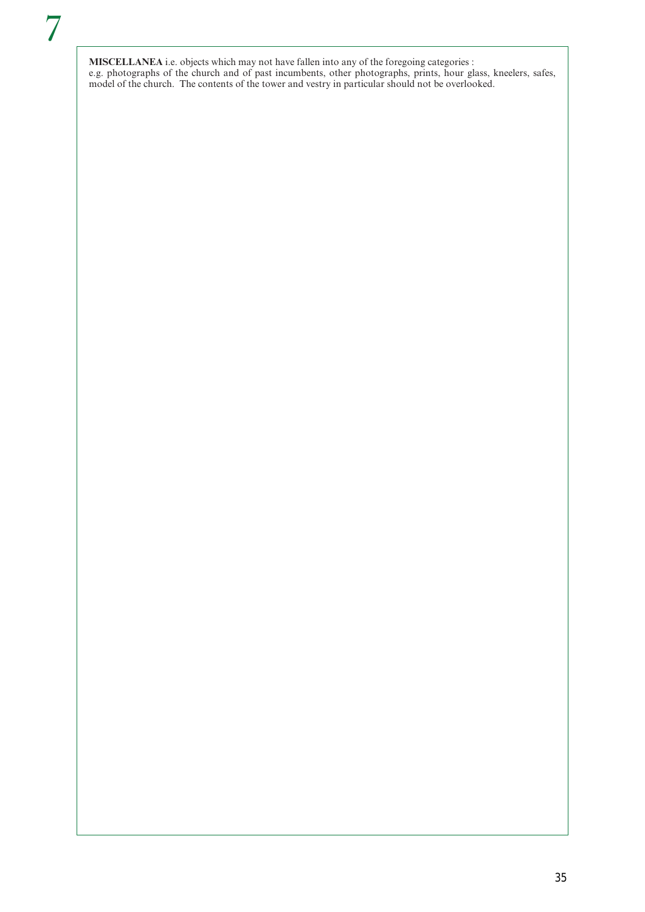**MISCELLANEA** i.e. objects which may not have fallen into any of the foregoing categories : e.g. photographs of the church and of past incumbents, other photographs, prints, hour glass, kneelers, safes, model of the church. The contents of the tower and vestry in particular should not be overlooked.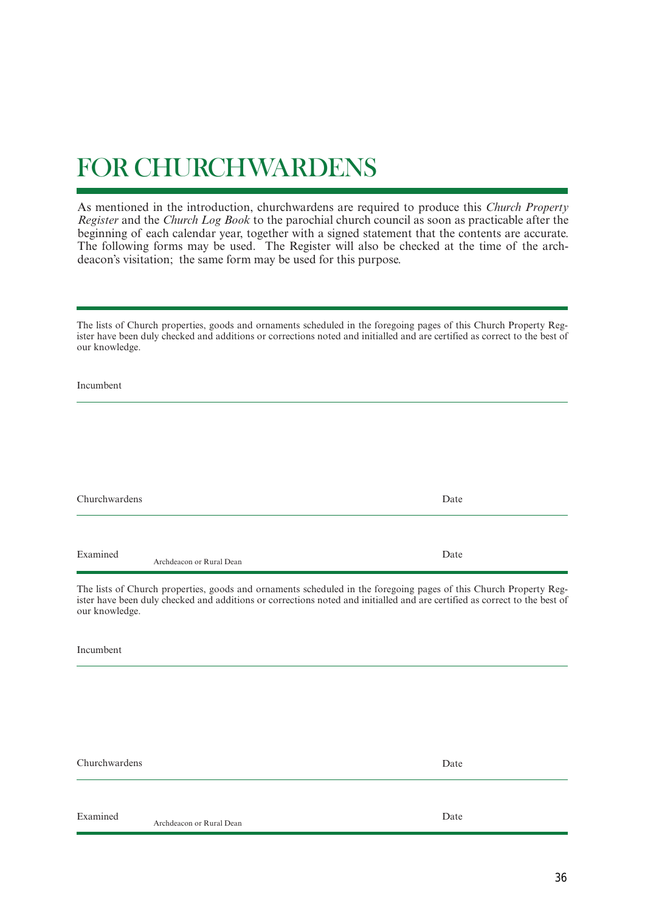# FOR CHURCHWARDENS

As mentioned in the introduction, churchwardens are required to produce this *Church Property Register* and the *Church Log Book* to the parochial church council as soon as practicable after the beginning of each calendar year, together with a signed statement that the contents are accurate. The following forms may be used. The Register will also be checked at the time of the archdeacon's visitation; the same form may be used for this purpose.

The lists of Church properties, goods and ornaments scheduled in the foregoing pages of this Church Property Register have been duly checked and additions or corrections noted and initialled and are certified as correct to the best of our knowledge.

Incumbent

| Churchwardens |                          | Date |
|---------------|--------------------------|------|
|               |                          |      |
| Examined      | Archdeacon or Rural Dean | Date |

The lists of Church properties, goods and ornaments scheduled in the foregoing pages of this Church Property Register have been duly checked and additions or corrections noted and initialled and are certified as correct to the best of our knowledge.

Incumbent

Churchwardens

Date

Examined

Archdeacon or Rural Dean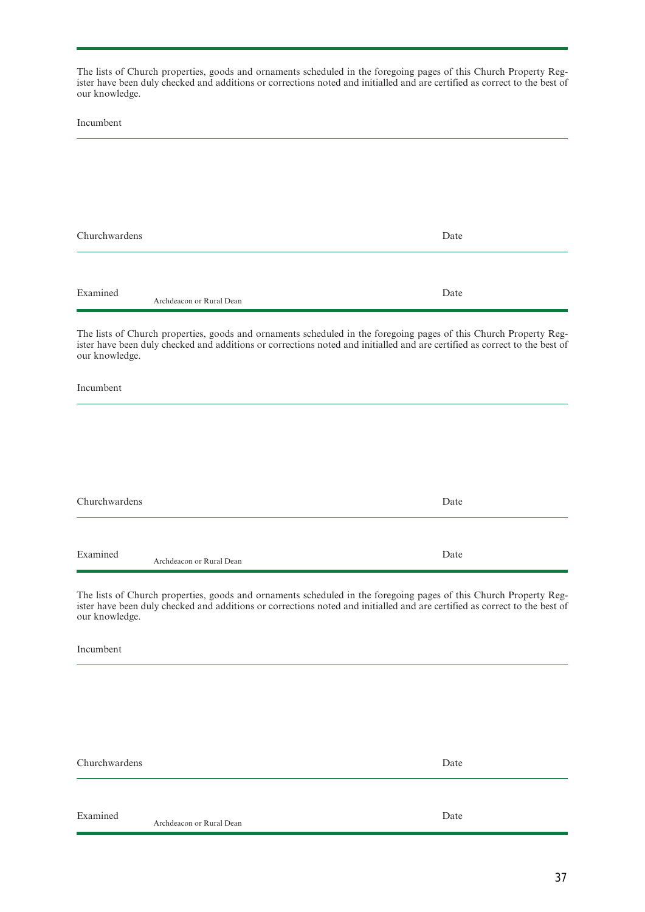The lists of Church properties, goods and ornaments scheduled in the foregoing pages of this Church Property Register have been duly checked and additions or corrections noted and initialled and are certified as correct to the best of our knowledge.

Incumbent

| Churchwardens |                          | Date |
|---------------|--------------------------|------|
|               |                          |      |
| Examined      | Archdeacon or Rural Dean | Date |

The lists of Church properties, goods and ornaments scheduled in the foregoing pages of this Church Property Register have been duly checked and additions or corrections noted and initialled and are certified as correct to the best of our knowledge.

Incumbent

| Churchwardens |                          | Date |  |
|---------------|--------------------------|------|--|
|               |                          |      |  |
| Examined      | Archdeacon or Rural Dean | Date |  |

The lists of Church properties, goods and ornaments scheduled in the foregoing pages of this Church Property Register have been duly checked and additions or corrections noted and initialled and are certified as correct to the best of our knowledge.

Incumbent

Churchwardens

Date

Examined

Archdeacon or Rural Dean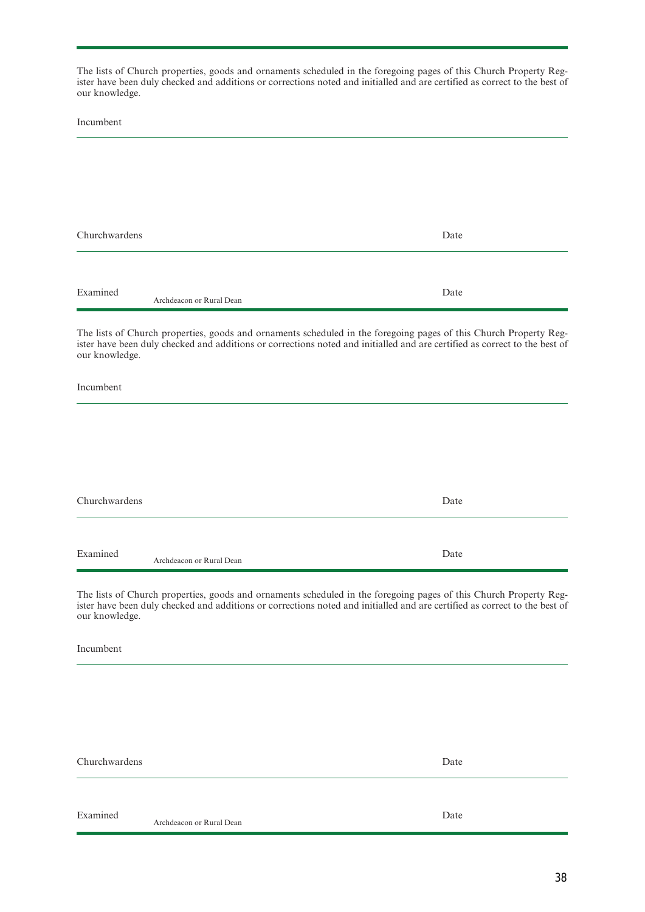The lists of Church properties, goods and ornaments scheduled in the foregoing pages of this Church Property Register have been duly checked and additions or corrections noted and initialled and are certified as correct to the best of our knowledge.

Incumbent

| Churchwardens |                          | Date |  |
|---------------|--------------------------|------|--|
|               |                          |      |  |
| Examined      | Archdeacon or Rural Dean | Date |  |

The lists of Church properties, goods and ornaments scheduled in the foregoing pages of this Church Property Register have been duly checked and additions or corrections noted and initialled and are certified as correct to the best of our knowledge.

Incumbent

| Churchwardens |                          | Date |
|---------------|--------------------------|------|
|               |                          |      |
| Examined      | Archdeacon or Rural Dean | Date |

The lists of Church properties, goods and ornaments scheduled in the foregoing pages of this Church Property Register have been duly checked and additions or corrections noted and initialled and are certified as correct to the best of our knowledge.

Incumbent

Churchwardens

Date

Examined

Archdeacon or Rural Dean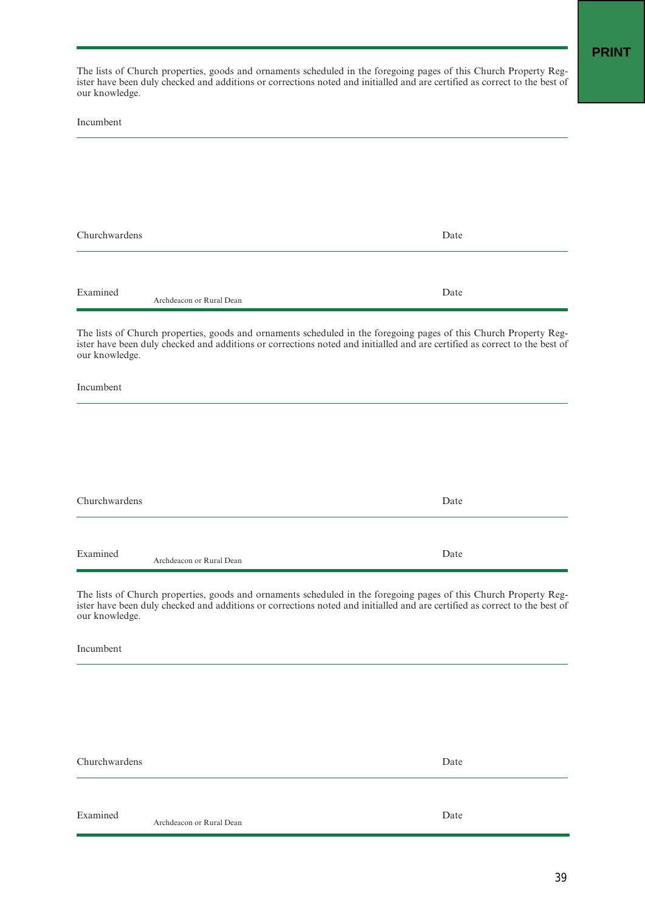The lists of Church properties, goods and ornaments scheduled in the foregoing pages of this Church Property Register have been duly checked and additions or corrections noted and initialled and are certified as correct to the best of our knowledge.

Incumbent

| Churchwardens |                          | Date |
|---------------|--------------------------|------|
|               |                          |      |
| Examined      | Archdeacon or Rural Dean | Date |

The lists of Church properties, goods and ornaments scheduled in the foregoing pages of this Church Property Register have been duly checked and additions or corrections noted and initialled and are certified as correct to the best of our knowledge.

Incumbent

| Churchwardens |                          | Date |
|---------------|--------------------------|------|
|               |                          |      |
| Examined      | Archdeacon or Rural Dean | Date |

The lists of Church properties, goods and ornaments scheduled in the foregoing pages of this Church Property Register have been duly checked and additions or corrections noted and initialled and are certified as correct to the best of our knowledge.

Incumbent

Churchwardens

Date

Examined

Archdeacon or Rural Dean